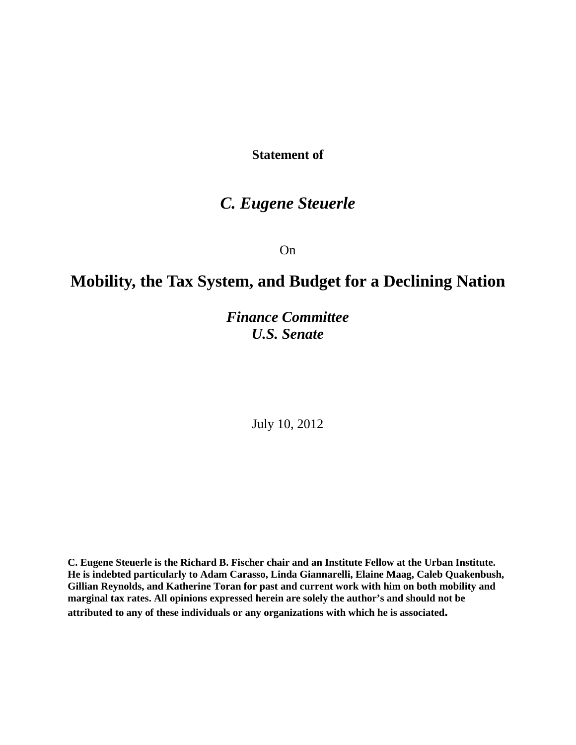**Statement of**

## *C. Eugene Steuerle*

On

# **Mobility, the Tax System, and Budget for a Declining Nation**

*Finance Committee U.S. Senate*

July 10, 2012

**C. Eugene Steuerle is the Richard B. Fischer chair and an Institute Fellow at the Urban Institute. He is indebted particularly to Adam Carasso, Linda Giannarelli, Elaine Maag, Caleb Quakenbush, Gillian Reynolds, and Katherine Toran for past and current work with him on both mobility and marginal tax rates. All opinions expressed herein are solely the author's and should not be attributed to any of these individuals or any organizations with which he is associated.**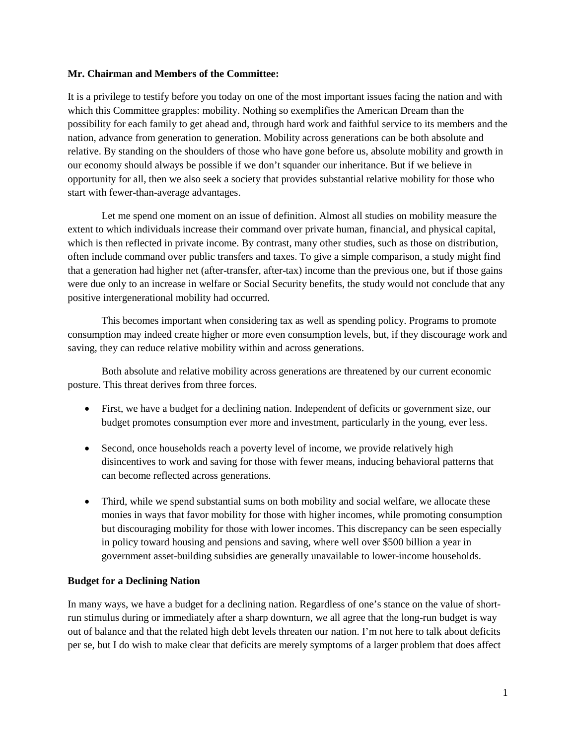#### **Mr. Chairman and Members of the Committee:**

It is a privilege to testify before you today on one of the most important issues facing the nation and with which this Committee grapples: mobility. Nothing so exemplifies the American Dream than the possibility for each family to get ahead and, through hard work and faithful service to its members and the nation, advance from generation to generation. Mobility across generations can be both absolute and relative. By standing on the shoulders of those who have gone before us, absolute mobility and growth in our economy should always be possible if we don't squander our inheritance. But if we believe in opportunity for all, then we also seek a society that provides substantial relative mobility for those who start with fewer-than-average advantages.

Let me spend one moment on an issue of definition. Almost all studies on mobility measure the extent to which individuals increase their command over private human, financial, and physical capital, which is then reflected in private income. By contrast, many other studies, such as those on distribution, often include command over public transfers and taxes. To give a simple comparison, a study might find that a generation had higher net (after-transfer, after-tax) income than the previous one, but if those gains were due only to an increase in welfare or Social Security benefits, the study would not conclude that any positive intergenerational mobility had occurred.

This becomes important when considering tax as well as spending policy. Programs to promote consumption may indeed create higher or more even consumption levels, but, if they discourage work and saving, they can reduce relative mobility within and across generations.

Both absolute and relative mobility across generations are threatened by our current economic posture. This threat derives from three forces.

- First, we have a budget for a declining nation. Independent of deficits or government size, our budget promotes consumption ever more and investment, particularly in the young, ever less.
- Second, once households reach a poverty level of income, we provide relatively high disincentives to work and saving for those with fewer means, inducing behavioral patterns that can become reflected across generations.
- Third, while we spend substantial sums on both mobility and social welfare, we allocate these monies in ways that favor mobility for those with higher incomes, while promoting consumption but discouraging mobility for those with lower incomes. This discrepancy can be seen especially in policy toward housing and pensions and saving, where well over \$500 billion a year in government asset-building subsidies are generally unavailable to lower-income households.

### **Budget for a Declining Nation**

In many ways, we have a budget for a declining nation. Regardless of one's stance on the value of shortrun stimulus during or immediately after a sharp downturn, we all agree that the long-run budget is way out of balance and that the related high debt levels threaten our nation. I'm not here to talk about deficits per se, but I do wish to make clear that deficits are merely symptoms of a larger problem that does affect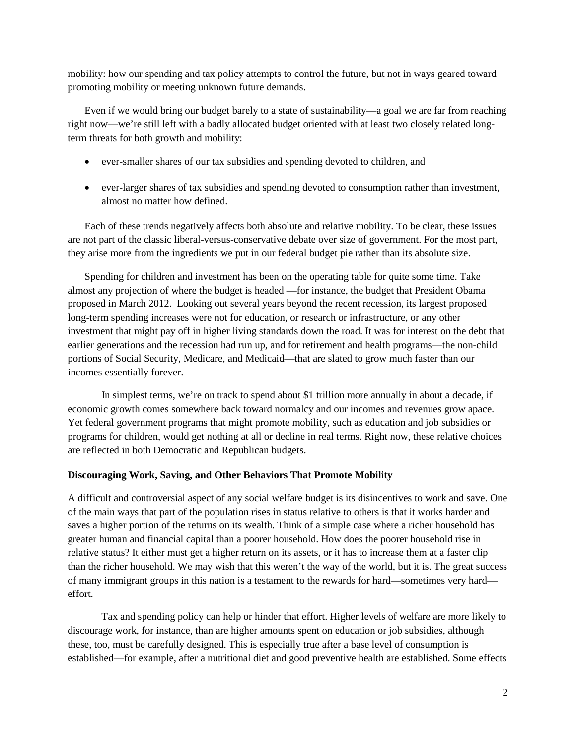mobility: how our spending and tax policy attempts to control the future, but not in ways geared toward promoting mobility or meeting unknown future demands.

Even if we would bring our budget barely to a state of sustainability—a goal we are far from reaching right now—we're still left with a badly allocated budget oriented with at least two closely related longterm threats for both growth and mobility:

- ever-smaller shares of our tax subsidies and spending devoted to children, and
- ever-larger shares of tax subsidies and spending devoted to consumption rather than investment, almost no matter how defined.

Each of these trends negatively affects both absolute and relative mobility. To be clear, these issues are not part of the classic liberal-versus-conservative debate over size of government. For the most part, they arise more from the ingredients we put in our federal budget pie rather than its absolute size.

Spending for children and investment has been on the operating table for quite some time. Take almost any projection of where the budget is headed —for instance, the budget that President Obama proposed in March 2012. Looking out several years beyond the recent recession, its largest proposed long-term spending increases were not for education, or research or infrastructure, or any other investment that might pay off in higher living standards down the road. It was for interest on the debt that earlier generations and the recession had run up, and for retirement and health programs—the non-child portions of Social Security, Medicare, and Medicaid—that are slated to grow much faster than our incomes essentially forever.

In simplest terms, we're on track to spend about \$1 trillion more annually in about a decade, if economic growth comes somewhere back toward normalcy and our incomes and revenues grow apace. Yet federal government programs that might promote mobility, such as education and job subsidies or programs for children, would get nothing at all or decline in real terms. Right now, these relative choices are reflected in both Democratic and Republican budgets.

### **Discouraging Work, Saving, and Other Behaviors That Promote Mobility**

A difficult and controversial aspect of any social welfare budget is its disincentives to work and save. One of the main ways that part of the population rises in status relative to others is that it works harder and saves a higher portion of the returns on its wealth. Think of a simple case where a richer household has greater human and financial capital than a poorer household. How does the poorer household rise in relative status? It either must get a higher return on its assets, or it has to increase them at a faster clip than the richer household. We may wish that this weren't the way of the world, but it is. The great success of many immigrant groups in this nation is a testament to the rewards for hard—sometimes very hard effort.

Tax and spending policy can help or hinder that effort. Higher levels of welfare are more likely to discourage work, for instance, than are higher amounts spent on education or job subsidies, although these, too, must be carefully designed. This is especially true after a base level of consumption is established—for example, after a nutritional diet and good preventive health are established. Some effects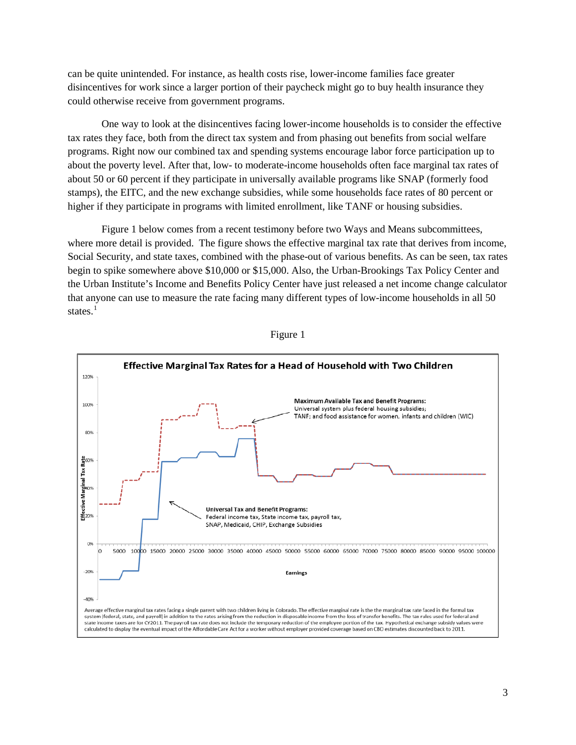can be quite unintended. For instance, as health costs rise, lower-income families face greater disincentives for work since a larger portion of their paycheck might go to buy health insurance they could otherwise receive from government programs.

One way to look at the disincentives facing lower-income households is to consider the effective tax rates they face, both from the direct tax system and from phasing out benefits from social welfare programs. Right now our combined tax and spending systems encourage labor force participation up to about the poverty level. After that, low- to moderate-income households often face marginal tax rates of about 50 or 60 percent if they participate in universally available programs like SNAP (formerly food stamps), the EITC, and the new exchange subsidies, while some households face rates of 80 percent or higher if they participate in programs with limited enrollment, like TANF or housing subsidies.

Figure 1 below comes from a recent testimony before two Ways and Means subcommittees, where more detail is provided. The figure shows the effective marginal tax rate that derives from income, Social Security, and state taxes, combined with the phase-out of various benefits. As can be seen, tax rates begin to spike somewhere above \$10,000 or \$15,000. Also, the Urban-Brookings Tax Policy Center and the Urban Institute's Income and Benefits Policy Center have just released a net income change calculator that anyone can use to measure the rate facing many different types of low-income households in all 50 states. $1$ 



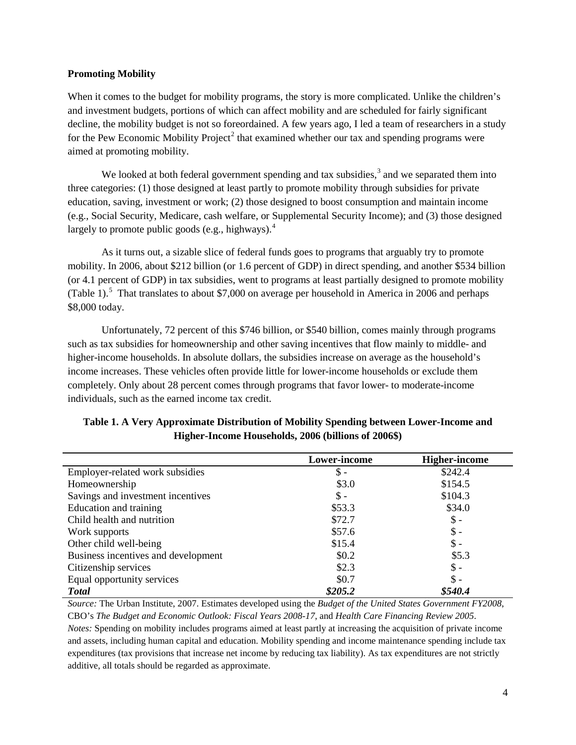#### **Promoting Mobility**

When it comes to the budget for mobility programs, the story is more complicated. Unlike the children's and investment budgets, portions of which can affect mobility and are scheduled for fairly significant decline, the mobility budget is not so foreordained. A few years ago, I led a team of researchers in a study for the Pew Economic Mobility Project<sup>[2](#page-7-1)</sup> that examined whether our tax and spending programs were aimed at promoting mobility.

We looked at both federal government spending and tax subsidies, $3$  and we separated them into three categories: (1) those designed at least partly to promote mobility through subsidies for private education, saving, investment or work; (2) those designed to boost consumption and maintain income (e.g., Social Security, Medicare, cash welfare, or Supplemental Security Income); and (3) those designed largely to promote public goods (e.g., highways). $<sup>4</sup>$  $<sup>4</sup>$  $<sup>4</sup>$ </sup>

As it turns out, a sizable slice of federal funds goes to programs that arguably try to promote mobility. In 2006, about \$212 billion (or 1.6 percent of GDP) in direct spending, and another \$534 billion (or 4.1 percent of GDP) in tax subsidies, went to programs at least partially designed to promote mobility (Table 1).<sup>[5](#page-7-4)</sup> That translates to about \$7,000 on average per household in America in 2006 and perhaps \$8,000 today.

Unfortunately, 72 percent of this \$746 billion, or \$540 billion, comes mainly through programs such as tax subsidies for homeownership and other saving incentives that flow mainly to middle- and higher-income households. In absolute dollars, the subsidies increase on average as the household's income increases. These vehicles often provide little for lower-income households or exclude them completely. Only about 28 percent comes through programs that favor lower- to moderate-income individuals, such as the earned income tax credit.

|                                     | Lower-income    | <b>Higher-income</b> |
|-------------------------------------|-----------------|----------------------|
| Employer-related work subsidies     | $\mathsf{\$}$ - | \$242.4              |
| Homeownership                       | \$3.0           | \$154.5              |
| Savings and investment incentives   | $\mathbb{S}$ -  | \$104.3              |
| Education and training              | \$53.3          | \$34.0               |
| Child health and nutrition          | \$72.7          | $\mathsf{\$}$ -      |
| Work supports                       | \$57.6          | $\$ -                |
| Other child well-being              | \$15.4          | $\$ -                |
| Business incentives and development | \$0.2\$         | \$5.3                |
| Citizenship services                | \$2.3           | $\mathsf{\$}$ -      |
| Equal opportunity services          | \$0.7           | $\$ -                |
| <b>Total</b>                        | \$205.2         | \$540.4              |

**Table 1. A Very Approximate Distribution of Mobility Spending between Lower-Income and Higher-Income Households, 2006 (billions of 2006\$)**

*Source:* The Urban Institute, 2007. Estimates developed using the *Budget of the United States Government FY2008*, CBO's *The Budget and Economic Outlook: Fiscal Years 2008-17*, and *Health Care Financing Review 2005*. *Notes:* Spending on mobility includes programs aimed at least partly at increasing the acquisition of private income and assets, including human capital and education. Mobility spending and income maintenance spending include tax expenditures (tax provisions that increase net income by reducing tax liability). As tax expenditures are not strictly additive, all totals should be regarded as approximate.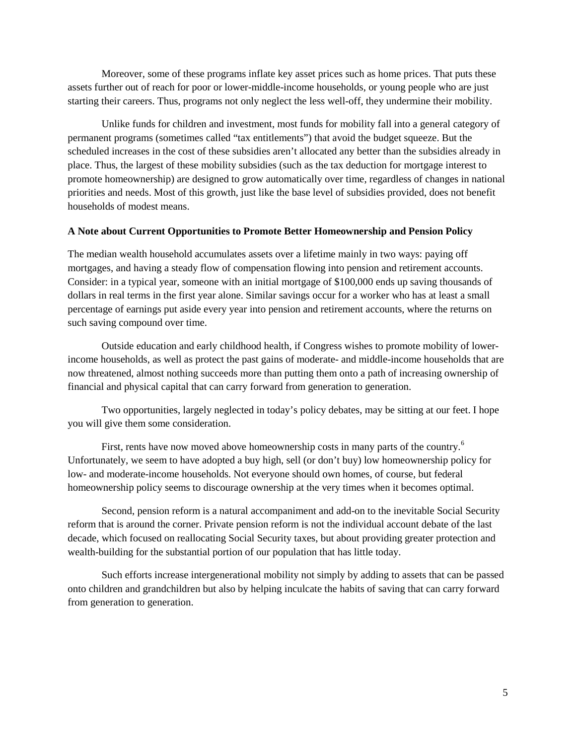Moreover, some of these programs inflate key asset prices such as home prices. That puts these assets further out of reach for poor or lower-middle-income households, or young people who are just starting their careers. Thus, programs not only neglect the less well-off, they undermine their mobility.

Unlike funds for children and investment, most funds for mobility fall into a general category of permanent programs (sometimes called "tax entitlements") that avoid the budget squeeze. But the scheduled increases in the cost of these subsidies aren't allocated any better than the subsidies already in place. Thus, the largest of these mobility subsidies (such as the tax deduction for mortgage interest to promote homeownership) are designed to grow automatically over time, regardless of changes in national priorities and needs. Most of this growth, just like the base level of subsidies provided, does not benefit households of modest means.

#### **A Note about Current Opportunities to Promote Better Homeownership and Pension Policy**

The median wealth household accumulates assets over a lifetime mainly in two ways: paying off mortgages, and having a steady flow of compensation flowing into pension and retirement accounts. Consider: in a typical year, someone with an initial mortgage of \$100,000 ends up saving thousands of dollars in real terms in the first year alone. Similar savings occur for a worker who has at least a small percentage of earnings put aside every year into pension and retirement accounts, where the returns on such saving compound over time.

Outside education and early childhood health, if Congress wishes to promote mobility of lowerincome households, as well as protect the past gains of moderate- and middle-income households that are now threatened, almost nothing succeeds more than putting them onto a path of increasing ownership of financial and physical capital that can carry forward from generation to generation.

Two opportunities, largely neglected in today's policy debates, may be sitting at our feet. I hope you will give them some consideration.

First, rents have now moved above homeownership costs in many parts of the country.<sup>[6](#page-7-5)</sup> Unfortunately, we seem to have adopted a buy high, sell (or don't buy) low homeownership policy for low- and moderate-income households. Not everyone should own homes, of course, but federal homeownership policy seems to discourage ownership at the very times when it becomes optimal.

Second, pension reform is a natural accompaniment and add-on to the inevitable Social Security reform that is around the corner. Private pension reform is not the individual account debate of the last decade, which focused on reallocating Social Security taxes, but about providing greater protection and wealth-building for the substantial portion of our population that has little today.

Such efforts increase intergenerational mobility not simply by adding to assets that can be passed onto children and grandchildren but also by helping inculcate the habits of saving that can carry forward from generation to generation.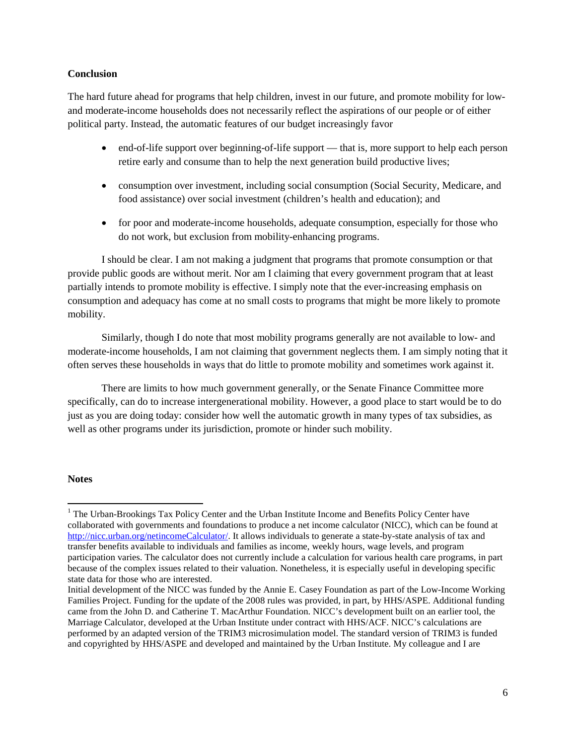### **Conclusion**

The hard future ahead for programs that help children, invest in our future, and promote mobility for lowand moderate-income households does not necessarily reflect the aspirations of our people or of either political party. Instead, the automatic features of our budget increasingly favor

- end-of-life support over beginning-of-life support that is, more support to help each person retire early and consume than to help the next generation build productive lives;
- consumption over investment, including social consumption (Social Security, Medicare, and food assistance) over social investment (children's health and education); and
- for poor and moderate-income households, adequate consumption, especially for those who do not work, but exclusion from mobility-enhancing programs.

I should be clear. I am not making a judgment that programs that promote consumption or that provide public goods are without merit. Nor am I claiming that every government program that at least partially intends to promote mobility is effective. I simply note that the ever-increasing emphasis on consumption and adequacy has come at no small costs to programs that might be more likely to promote mobility.

Similarly, though I do note that most mobility programs generally are not available to low- and moderate-income households, I am not claiming that government neglects them. I am simply noting that it often serves these households in ways that do little to promote mobility and sometimes work against it.

There are limits to how much government generally, or the Senate Finance Committee more specifically, can do to increase intergenerational mobility. However, a good place to start would be to do just as you are doing today: consider how well the automatic growth in many types of tax subsidies, as well as other programs under its jurisdiction, promote or hinder such mobility.

### **Notes**

<sup>&</sup>lt;sup>1</sup> The Urban-Brookings Tax Policy Center and the Urban Institute Income and Benefits Policy Center have collaborated with governments and foundations to produce a net income calculator (NICC), which can be found at [http://nicc.urban.org/netincomeCalculator/.](http://nicc.urban.org/netincomeCalculator/) It allows individuals to generate a state-by-state analysis of tax and transfer benefits available to individuals and families as income, weekly hours, wage levels, and program participation varies. The calculator does not currently include a calculation for various health care programs, in part because of the complex issues related to their valuation. Nonetheless, it is especially useful in developing specific state data for those who are interested.

Initial development of the NICC was funded by the Annie E. Casey Foundation as part of the Low-Income Working Families Project. Funding for the update of the 2008 rules was provided, in part, by HHS/ASPE. Additional funding came from the John D. and Catherine T. MacArthur Foundation. NICC's development built on an earlier tool, the Marriage Calculator, developed at the Urban Institute under contract with HHS/ACF. NICC's calculations are performed by an adapted version of the TRIM3 microsimulation model. The standard version of TRIM3 is funded and copyrighted by HHS/ASPE and developed and maintained by the Urban Institute. My colleague and I are